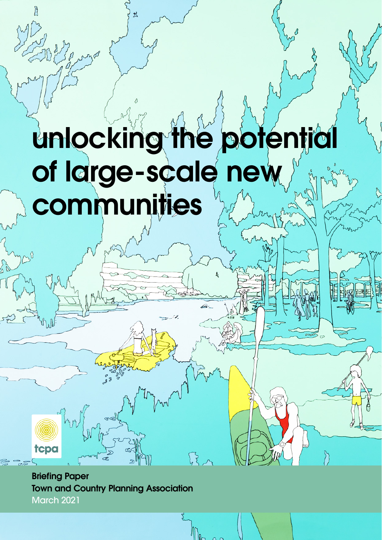# unlocking the potent **of large-scale new communities**

丛

**Briefing Paper Town and Country Planning Association**  March 2021

tcpa

 $\mathbb{R}$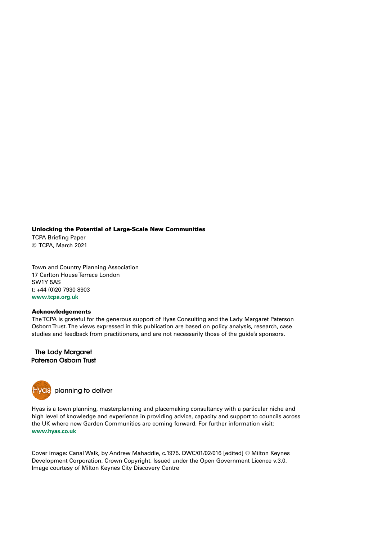### **Unlocking the Potential of Large-Scale New Communities**

TCPA Briefing Paper © TCPA, March 2021

Town and Country Planning Association 17 Carlton House Terrace London SW1Y 5AS t: +44 (0)20 7930 8903 **www.tcpa.org.uk**

### **Acknowledgements**

The TCPA is grateful for the generous support of Hyas Consulting and the Lady Margaret Paterson Osborn Trust. The views expressed in this publication are based on policy analysis, research, case studies and feedback from practitioners, and are not necessarily those of the guide's sponsors.

### **The Lady Margaret Paterson Osborn Trust**



Hyas is a town planning, masterplanning and placemaking consultancy with a particular niche and high level of knowledge and experience in providing advice, capacity and support to councils across the UK where new Garden Communities are coming forward. For further information visit: **www.hyas.co.uk**

Cover image: Canal Walk, by Andrew Mahaddie, c.1975. DWC/01/02/016 [edited] © Milton Keynes Development Corporation. Crown Copyright. Issued under the Open Government Licence v.3.0. Image courtesy of Milton Keynes City Discovery Centre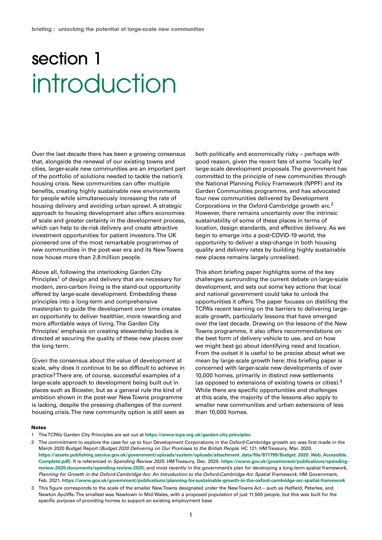### section 1 introduction

Over the last decade there has been a growing consensus that, alongside the renewal of our existing towns and cities, larger-scale new communities are an important part of the portfolio of solutions needed to tackle the nation's housing crisis. New communities can offer multiple benefits, creating highly sustainable new environments for people while simultaneously increasing the rate of housing delivery and avoiding urban sprawl. A strategic approach to housing development also offers economies of scale and greater certainty in the development process, which can help to de-risk delivery and create attractive investment opportunities for patient investors. The UK pioneered one of the most remarkable programmes of new communities in the post-war era and its New Towns now house more than 2.8 million people.

Above all, following the interlocking Garden City Principles<sup>1</sup> of design and delivery that are necessary for modern, zero-carbon living is the stand-out opportunity offered by large-scale development. Embedding these principles into a long-term and comprehensive masterplan to guide the development over time creates an opportunity to deliver healthier, more rewarding and more affordable ways of living. The Garden City Principles' emphasis on creating stewardship bodies is directed at securing the quality of these new places over the long term.

Given the consensus about the value of development at scale, why does it continue to be so difficult to achieve in practice? There are, of course, successful examples of a large-scale approach to development being built out in places such as Bicester, but as a general rule the kind of ambition shown in the post-war New Towns programme is lacking, despite the pressing challenges of the current housing crisis. The new community option is still seen as

both politically and economically risky – perhaps with good reason, given the recent fate of some 'locally led' large-scale development proposals. The government has committed to the principle of new communities through the National Planning Policy Framework (NPPF) and its Garden Communities programme, and has advocated four new communities delivered by Development Corporations in the Oxford-Cambridge growth arc.2 However, there remains uncertainty over the intrinsic sustainability of some of these places in terms of location, design standards, and effective delivery. As we begin to emerge into a post-COVID-19 world, the opportunity to deliver a step-change in both housing quality and delivery rates by building highly sustainable new places remains largely unrealised.

This short briefing paper highlights some of the key challenges surrounding the current debate on large-scale development, and sets out some key actions that local and national government could take to unlock the opportunities it offers. The paper focuses on distilling the TCPA's recent learning on the barriers to delivering largescale growth, particularly lessons that have emerged over the last decade. Drawing on the lessons of the New Towns programme, it also offers recommendations on the best form of delivery vehicle to use, and on how we might best go about identifying need and location. From the outset it is useful to be precise about what we mean by large-scale growth here: this briefing paper is concerned with larger-scale new developments of over 10,000 homes, primarily in distinct new settlements (as opposed to extensions of existing towns or cities).3 While there are specific opportunities and challenges at this scale, the majority of the lessons also apply to smaller new communities and urban extensions of less than 10,000 homes.

#### **Notes**

- 1 The TCPA's Garden City Principles are set out at **https://www.tcpa.org.uk/garden-city-principles**
- 2 The commitment to explore the case for up to four Development Corporations in the Oxford-Cambridge growth arc was first made in the March 2020 Budget Report (Budget 2020 Delivering on Our Promises to the British People. HC 121. HM Treasury, Mar. 2020. **https://assets.publishing.service.gov.uk/government/uploads/system/uploads/attachment\_data/file/871799/Budget\_2020\_Web\_Accessible\_ Complete.pdf**). It is referenced in Spending Review 2020. HM Treasury, Dec. 2020. **https://www.gov.uk/government/publications/spendingreview-2020-documents/spending-review-2020**; and most recently in the government's plan for developing a long-term spatial framework, Planning for Growth in the Oxford-Cambridge Arc: An Introduction to the Oxford-Cambridge Arc Spatial Framework. HM Government, Feb. 2021. **https://www.gov.uk/government/publications/planning-for-sustainable-growth-in-the-oxford-cambridge-arc-spatial-framework**
- 3 This figure corresponds to the scale of the smaller New Towns designated under the New Towns Act such as Hatfield, Peterlee, and Newton Aycliffe. The smallest was Newtown in Mid-Wales, with a proposed population of just 11,500 people, but this was built for the specific purpose of providing homes to support an existing employment base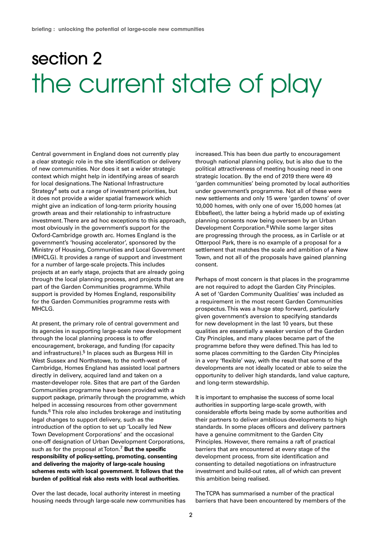### section 2 the current state of play

Central government in England does not currently play a clear strategic role in the site identification or delivery of new communities. Nor does it set a wider strategic context which might help in identifying areas of search for local designations. The National Infrastructure Strategy<sup>4</sup> sets out a range of investment priorities, but it does not provide a wider spatial framework which might give an indication of long-term priority housing growth areas and their relationship to infrastructure investment. There are ad hoc exceptions to this approach, most obviously in the government's support for the Oxford-Cambridge growth arc. Homes England is the government's 'housing accelerator', sponsored by the Ministry of Housing, Communities and Local Government (MHCLG). It provides a range of support and investment for a number of large-scale projects. This includes projects at an early stage, projects that are already going through the local planning process, and projects that are part of the Garden Communities programme. While support is provided by Homes England, responsibility for the Garden Communities programme rests with MHCLG.

At present, the primary role of central government and its agencies in supporting large-scale new development through the local planning process is to offer encouragement, brokerage, and funding (for capacity and infrastructure).<sup>5</sup> In places such as Burgess Hill in West Sussex and Northstowe, to the north-west of Cambridge, Homes England has assisted local partners directly in delivery, acquired land and taken on a master-developer role. Sites that are part of the Garden Communities programme have been provided with a support package, primarily through the programme, which helped in accessing resources from other government funds.6 This role also includes brokerage and instituting legal changes to support delivery, such as the introduction of the option to set up 'Locally led New Town Development Corporations' and the occasional one-off designation of Urban Development Corporations, such as for the proposal at Toton.7 **But the specific responsibility of policy-setting, promoting, consenting and delivering the majority of large-scale housing schemes rests with local government. It follows that the burden of political risk also rests with local authorities.**

Over the last decade, local authority interest in meeting housing needs through large-scale new communities has increased. This has been due partly to encouragement through national planning policy, but is also due to the political attractiveness of meeting housing need in one strategic location. By the end of 2019 there were 49 'garden communities' being promoted by local authorities under government's programme. Not all of these were new settlements and only 15 were 'garden towns' of over 10,000 homes, with only one of over 15,000 homes (at Ebbsfleet), the latter being a hybrid made up of existing planning consents now being overseen by an Urban Development Corporation.8 While some larger sites are progressing through the process, as in Carlisle or at Otterpool Park, there is no example of a proposal for a settlement that matches the scale and ambition of a New Town, and not all of the proposals have gained planning consent.

Perhaps of most concern is that places in the programme are not required to adopt the Garden City Principles. A set of 'Garden Community Qualities' was included as a requirement in the most recent Garden Communities prospectus. This was a huge step forward, particularly given government's aversion to specifying standards for new development in the last 10 years, but these qualities are essentially a weaker version of the Garden City Principles, and many places became part of the programme before they were defined. This has led to some places committing to the Garden City Principles in a very 'flexible' way, with the result that some of the developments are not ideally located or able to seize the opportunity to deliver high standards, land value capture, and long-term stewardship.

It is important to emphasise the success of some local authorities in supporting large-scale growth, with considerable efforts being made by some authorities and their partners to deliver ambitious developments to high standards. In some places officers and delivery partners have a genuine commitment to the Garden City Principles. However, there remains a raft of practical barriers that are encountered at every stage of the development process, from site identification and consenting to detailed negotiations on infrastructure investment and build-out rates, all of which can prevent this ambition being realised.

The TCPA has summarised a number of the practical barriers that have been encountered by members of the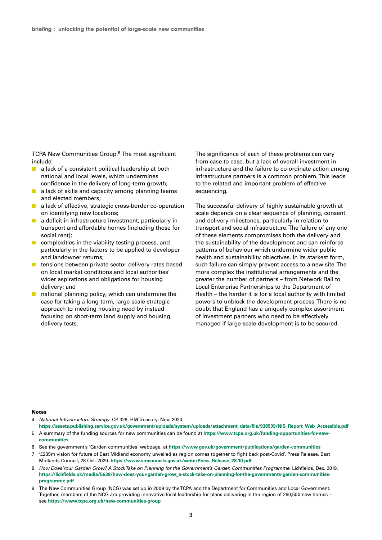TCPA New Communities Group.<sup>9</sup> The most significant include:

- a lack of a consistent political leadership at both national and local levels, which undermines confidence in the delivery of long-term growth;
- a lack of skills and capacity among planning teams and elected members;
- a lack of effective, strategic cross-border co-operation on identifying new locations;
- a deficit in infrastructure investment, particularly in transport and affordable homes (including those for social rent);
- complexities in the viability testing process, and particularly in the factors to be applied to developer and landowner returns;
- tensions between private sector delivery rates based on local market conditions and local authorities' wider aspirations and obligations for housing delivery; and
- national planning policy, which can undermine the case for taking a long-term, large-scale strategic approach to meeting housing need by instead focusing on short-term land supply and housing delivery tests.

The significance of each of these problems can vary from case to case, but a lack of overall investment in infrastructure and the failure to co-ordinate action among infrastructure partners is a common problem. This leads to the related and important problem of effective sequencing.

The successful delivery of highly sustainable growth at scale depends on a clear sequence of planning, consent and delivery milestones, particularly in relation to transport and social infrastructure. The failure of any one of these elements compromises both the delivery and the sustainability of the development and can reinforce patterns of behaviour which undermine wider public health and sustainability objectives. In its starkest form, such failure can simply prevent access to a new site. The more complex the institutional arrangements and the greater the number of partners – from Network Rail to Local Enterprise Partnerships to the Department of Health – the harder it is for a local authority with limited powers to unblock the development process. There is no doubt that England has a uniquely complex assortment of investment partners who need to be effectively managed if large-scale development is to be secured.

### **Notes**

- 4 National Infrastructure Strategy. CP 329. HM Treasury, Nov. 2020.
- **https://assets.publishing.service.gov.uk/government/uploads/system/uploads/attachment\_data/file/938539/NIS\_Report\_Web\_Accessible.pdf** 5 A summary of the funding sources for new communities can be found at **https://www.tcpa.org.uk/funding-opportunities-for-newcommunities**
- 6 See the government's 'Garden communities' webpage, at **https://www.gov.uk/government/publications/garden-communities**
- 7 '£235m vision for future of East Midland economy unveiled as region comes together to fight back post-Covid'. Press Release. East Midlands Council, 28 Oct. 2020. **https://www.emcouncils.gov.uk/write/Press\_Release\_28.10.pdf**
- 8 How Does Your Garden Grow? A Stock Take on Planning for the Government's Garden Communities Programme. Lichfields, Dec. 2019. **https://lichfields.uk/media/5638/how-does-your-garden-grow\_a-stock-take-on-planning-for-the-governments-garden-communitiesprogramme.pdf**
- 9 The New Communities Group (NCG) was set up in 2009 by the TCPA and the Department for Communities and Local Government. Together, members of the NCG are providing innovative local leadership for plans delivering in the region of 280,500 new homes – see **https://www.tcpa.org.uk/new-communities-group**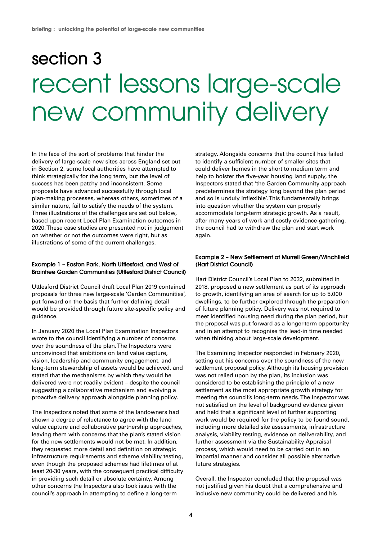### section 3 recent lessons large-scale new community delivery

In the face of the sort of problems that hinder the delivery of large-scale new sites across England set out in Section 2, some local authorities have attempted to think strategically for the long term, but the level of success has been patchy and inconsistent. Some proposals have advanced successfully through local plan-making processes, whereas others, sometimes of a similar nature, fail to satisfy the needs of the system. Three illustrations of the challenges are set out below, based upon recent Local Plan Examination outcomes in 2020. These case studies are presented not in judgement on whether or not the outcomes were right, but as illustrations of some of the current challenges.

### **Example 1 – Easton Park, North Uttlesford, and West of Braintree Garden Communities (Uttlesford District Council)**

Uttlesford District Council draft Local Plan 2019 contained proposals for three new large-scale 'Garden Communities', put forward on the basis that further defining detail would be provided through future site-specific policy and guidance.

In January 2020 the Local Plan Examination Inspectors wrote to the council identifying a number of concerns over the soundness of the plan. The Inspectors were unconvinced that ambitions on land value capture, vision, leadership and community engagement, and long-term stewardship of assets would be achieved, and stated that the mechanisms by which they would be delivered were not readily evident – despite the council suggesting a collaborative mechanism and evolving a proactive delivery approach alongside planning policy.

The Inspectors noted that some of the landowners had shown a degree of reluctance to agree with the land value capture and collaborative partnership approaches, leaving them with concerns that the plan's stated vision for the new settlements would not be met. In addition, they requested more detail and definition on strategic infrastructure requirements and scheme viability testing, even though the proposed schemes had lifetimes of at least 20-30 years, with the consequent practical difficulty in providing such detail or absolute certainty. Among other concerns the Inspectors also took issue with the council's approach in attempting to define a long-term

strategy. Alongside concerns that the council has failed to identify a sufficient number of smaller sites that could deliver homes in the short to medium term and help to bolster the five-year housing land supply, the Inspectors stated that 'the Garden Community approach predetermines the strategy long beyond the plan period and so is unduly inflexible'. This fundamentally brings into question whether the system can properly accommodate long-term strategic growth. As a result, after many years of work and costly evidence-gathering, the council had to withdraw the plan and start work again.

### **Example 2 – New Settlement at Murrell Green/Winchfield (Hart District Council)**

Hart District Council's Local Plan to 2032, submitted in 2018, proposed a new settlement as part of its approach to growth, identifying an area of search for up to 5,000 dwellings, to be further explored through the preparation of future planning policy. Delivery was not required to meet identified housing need during the plan period, but the proposal was put forward as a longer-term opportunity and in an attempt to recognise the lead-in time needed when thinking about large-scale development.

The Examining Inspector responded in February 2020, setting out his concerns over the soundness of the new settlement proposal policy. Although its housing provision was not relied upon by the plan, its inclusion was considered to be establishing the principle of a new settlement as the most appropriate growth strategy for meeting the council's long-term needs. The Inspector was not satisfied on the level of background evidence given and held that a significant level of further supporting work would be required for the policy to be found sound, including more detailed site assessments, infrastructure analysis, viability testing, evidence on deliverability, and further assessment via the Sustainability Appraisal process, which would need to be carried out in an impartial manner and consider all possible alternative future strategies.

Overall, the Inspector concluded that the proposal was not justified given his doubt that a comprehensive and inclusive new community could be delivered and his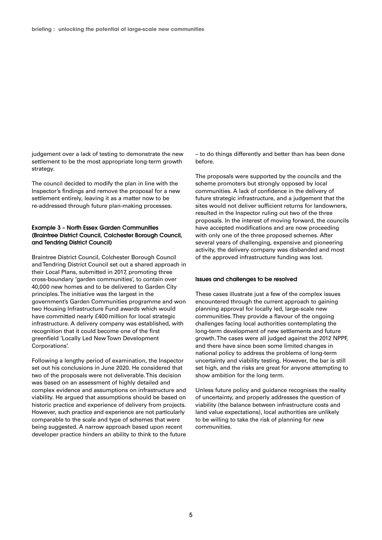judgement over a lack of testing to demonstrate the new settlement to be the most appropriate long-term growth strategy.

The council decided to modify the plan in line with the Inspector's findings and remove the proposal for a new settlement entirely, leaving it as a matter now to be re-addressed through future plan-making processes.

### **Example 3 – North Essex Garden Communities (Braintree District Council, Colchester Borough Council, and Tendring District Council)**

Braintree District Council, Colchester Borough Council and Tendring District Council set out a shared approach in their Local Plans, submitted in 2017, promoting three cross-boundary 'garden communities', to contain over 40,000 new homes and to be delivered to Garden City principles. The initiative was the largest in the government's Garden Communities programme and won two Housing Infrastructure Fund awards which would have committed nearly £400 million for local strategic infrastructure. A delivery company was established, with recognition that it could become one of the first greenfield 'Locally Led New Town Development Corporations'.

Following a lengthy period of examination, the Inspector set out his conclusions in June 2020. He considered that two of the proposals were not deliverable. This decision was based on an assessment of highly detailed and complex evidence and assumptions on infrastructure and viability. He argued that assumptions should be based on historic practice and experience of delivery from projects. However, such practice and experience are not particularly comparable to the scale and type of schemes that were being suggested. A narrow approach based upon recent developer practice hinders an ability to think to the future – to do things differently and better than has been done before.

The proposals were supported by the councils and the scheme promoters but strongly opposed by local communities. A lack of confidence in the delivery of future strategic infrastructure, and a judgement that the sites would not deliver sufficient returns for landowners, resulted in the Inspector ruling out two of the three proposals. In the interest of moving forward, the councils have accepted modifications and are now proceeding with only one of the three proposed schemes. After several years of challenging, expensive and pioneering activity, the delivery company was disbanded and most of the approved infrastructure funding was lost.

#### **Issues and challenges to be resolved**

These cases illustrate just a few of the complex issues encountered through the current approach to gaining planning approval for locally led, large-scale new communities. They provide a flavour of the ongoing challenges facing local authorities contemplating the long-term development of new settlements and future growth. The cases were all judged against the 2012 NPPF, and there have since been some limited changes in national policy to address the problems of long-term uncertainty and viability testing. However, the bar is still set high, and the risks are great for anyone attempting to show ambition for the long term.

Unless future policy and guidance recognises the reality of uncertainty, and properly addresses the question of viability (the balance between infrastructure costs and land value expectations), local authorities are unlikely to be willing to take the risk of planning for new communities.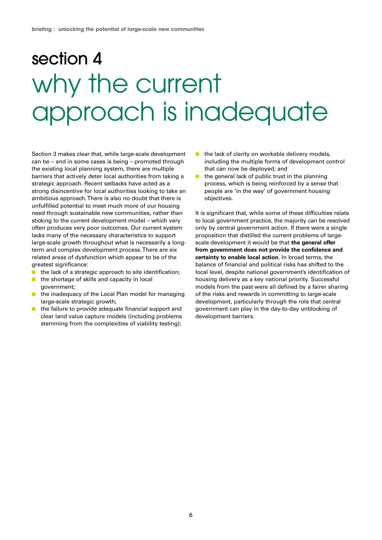### section 4 why the current approach is inadequate

Section 3 makes clear that, while large-scale development can be – and in some cases is being – promoted through the existing local planning system, there are multiple barriers that actively deter local authorities from taking a strategic approach. Recent setbacks have acted as a strong disincentive for local authorities looking to take an ambitious approach. There is also no doubt that there is unfulfilled potential to meet much more of our housing need through sustainable new communities, rather than sticking to the current development model – which very often produces very poor outcomes. Our current system lacks many of the necessary characteristics to support large-scale growth throughout what is necessarily a longterm and complex development process. There are six related areas of dysfunction which appear to be of the greatest significance:

- the lack of a strategic approach to site identification;
- the shortage of skills and capacity in local government;
- the inadequacy of the Local Plan model for managing large-scale strategic growth;
- the failure to provide adequate financial support and clear land value capture models (including problems stemming from the complexities of viability testing);
- the lack of clarity on workable delivery models, including the multiple forms of development control that can now be deployed; and
- the general lack of public trust in the planning process, which is being reinforced by a sense that people are 'in the way' of government housing objectives.

It is significant that, while some of these difficulties relate to local government practice, the majority can be resolved only by central government action. If there were a single proposition that distilled the current problems of largescale development it would be that **the general offer from government does not provide the confidence and certainty to enable local action**. In broad terms, the balance of financial and political risks has shifted to the local level, despite national government's identification of housing delivery as a key national priority. Successful models from the past were all defined by a fairer sharing of the risks and rewards in committing to large-scale development, particularly through the role that central government can play in the day-to-day unblocking of development barriers.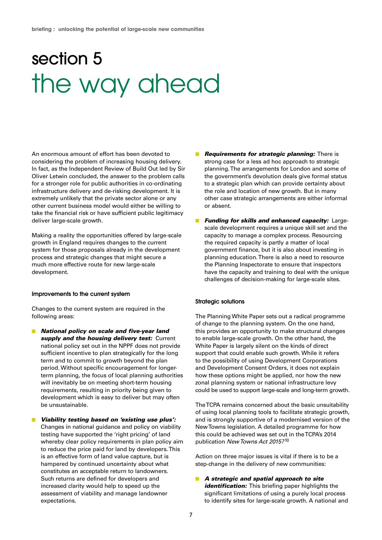### section 5 the way ahead

An enormous amount of effort has been devoted to considering the problem of increasing housing delivery. In fact, as the Independent Review of Build Out led by Sir Oliver Letwin concluded, the answer to the problem calls for a stronger role for public authorities in co-ordinating infrastructure delivery and de-risking development. It is extremely unlikely that the private sector alone or any other current business model would either be willing to take the financial risk or have sufficient public legitimacy deliver large-scale growth.

Making a reality the opportunities offered by large-scale growth in England requires changes to the current system for those proposals already in the development process and strategic changes that might secure a much more effective route for new large-scale development.

### **Improvements to the current system**

Changes to the current system are required in the following areas:

- **National policy on scale and five-year land supply and the housing delivery test:** Current national policy set out in the NPPF does not provide sufficient incentive to plan strategically for the long term and to commit to growth beyond the plan period. Without specific encouragement for longerterm planning, the focus of local planning authorities will inevitably be on meeting short-term housing requirements, resulting in priority being given to development which is easy to deliver but may often be unsustainable.
- **Viability testing based on 'existing use plus':** Changes in national guidance and policy on viability testing have supported the 'right pricing' of land whereby clear policy requirements in plan policy aim to reduce the price paid for land by developers. This is an effective form of land value capture, but is hampered by continued uncertainty about what constitutes an acceptable return to landowners. Such returns are defined for developers and increased clarity would help to speed up the assessment of viability and manage landowner expectations.
- **E Requirements for strategic planning:** There is strong case for a less ad hoc approach to strategic planning. The arrangements for London and some of the government's devolution deals give formal status to a strategic plan which can provide certainty about the role and location of new growth. But in many other case strategic arrangements are either informal or absent.
- **E** Funding for skills and enhanced capacity: Largescale development requires a unique skill set and the capacity to manage a complex process. Resourcing the required capacity is partly a matter of local government finance, but it is also about investing in planning education. There is also a need to resource the Planning Inspectorate to ensure that inspectors have the capacity and training to deal with the unique challenges of decision-making for large-scale sites.

### **Strategic solutions**

The Planning White Paper sets out a radical programme of change to the planning system. On the one hand, this provides an opportunity to make structural changes to enable large-scale growth. On the other hand, the White Paper is largely silent on the kinds of direct support that could enable such growth. While it refers to the possibility of using Development Corporations and Development Consent Orders, it does not explain how these options might be applied, nor how the new zonal planning system or national infrastructure levy could be used to support large-scale and long-term growth.

The TCPA remains concerned about the basic unsuitability of using local planning tools to facilitate strategic growth, and is strongly supportive of a modernised version of the New Towns legislation. A detailed programme for how this could be achieved was set out in the TCPA's 2014 publication New Towns Act 2015?<sup>10</sup>

Action on three major issues is vital if there is to be a step-change in the delivery of new communities:

■ **A** strategic and spatial approach to site **identification:** This briefing paper highlights the significant limitations of using a purely local process to identify sites for large-scale growth. A national and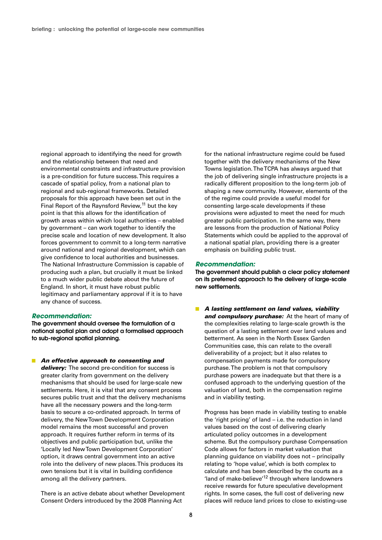regional approach to identifying the need for growth and the relationship between that need and environmental constraints and infrastructure provision is a pre-condition for future success. This requires a cascade of spatial policy, from a national plan to regional and sub-regional frameworks. Detailed proposals for this approach have been set out in the Final Report of the Raynsford Review, $11$  but the key point is that this allows for the identification of growth areas within which local authorities – enabled by government – can work together to identify the precise scale and location of new development. It also forces government to commit to a long-term narrative around national and regional development, which can give confidence to local authorities and businesses. The National Infrastructure Commission is capable of producing such a plan, but crucially it must be linked to a much wider public debate about the future of England. In short, it must have robust public legitimacy and parliamentary approval if it is to have any chance of success.

#### **Recommendation:**

**The government should oversee the formulation of a national spatial plan and adopt a formalised approach to sub-regional spatial planning.**

■ An effective approach to consenting and delivery: The second pre-condition for success is greater clarity from government on the delivery mechanisms that should be used for large-scale new settlements. Here, it is vital that any consent process secures public trust and that the delivery mechanisms have all the necessary powers and the long-term basis to secure a co-ordinated approach. In terms of delivery, the New Town Development Corporation model remains the most successful and proven approach. It requires further reform in terms of its objectives and public participation but, unlike the 'Locally led New Town Development Corporation' option, it draws central government into an active role into the delivery of new places. This produces its own tensions but it is vital in building confidence among all the delivery partners.

There is an active debate about whether Development Consent Orders introduced by the 2008 Planning Act

for the national infrastructure regime could be fused together with the delivery mechanisms of the New Towns legislation. The TCPA has always argued that the job of delivering single infrastructure projects is a radically different proposition to the long-term job of shaping a new community. However, elements of the of the regime could provide a useful model for consenting large-scale developments if these provisions were adjusted to meet the need for much greater public participation. In the same way, there are lessons from the production of National Policy Statements which could be applied to the approval of a national spatial plan, providing there is a greater emphasis on building public trust.

### **Recommendation:**

**The government should publish a clear policy statement on its preferred approach to the delivery of large-scale new settlements.**

■ **A lasting settlement on land values, viability and compulsory purchase:** At the heart of many of the complexities relating to large-scale growth is the question of a lasting settlement over land values and betterment. As seen in the North Essex Garden Communities case, this can relate to the overall deliverability of a project; but it also relates to compensation payments made for compulsory purchase. The problem is not that compulsory purchase powers are inadequate but that there is a confused approach to the underlying question of the valuation of land, both in the compensation regime and in viability testing.

Progress has been made in viability testing to enable the 'right pricing' of land – i.e. the reduction in land values based on the cost of delivering clearly articulated policy outcomes in a development scheme. But the compulsory purchase Compensation Code allows for factors in market valuation that planning guidance on viability does not – principally relating to 'hope value', which is both complex to calculate and has been described by the courts as a 'land of make-believe'12 through where landowners receive rewards for future speculative development rights. In some cases, the full cost of delivering new places will reduce land prices to close to existing-use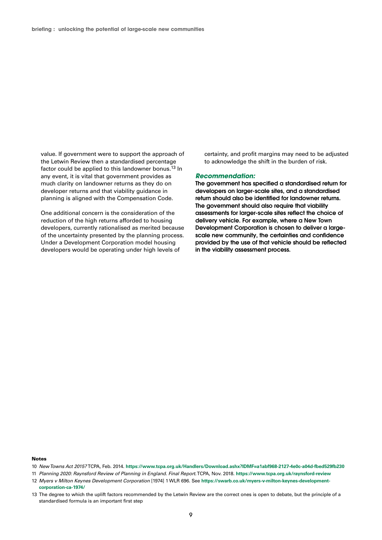value. If government were to support the approach of the Letwin Review then a standardised percentage factor could be applied to this landowner bonus.<sup>13</sup> In any event, it is vital that government provides as much clarity on landowner returns as they do on developer returns and that viability guidance in planning is aligned with the Compensation Code.

One additional concern is the consideration of the reduction of the high returns afforded to housing developers, currently rationalised as merited because of the uncertainty presented by the planning process. Under a Development Corporation model housing developers would be operating under high levels of

certainty, and profit margins may need to be adjusted to acknowledge the shift in the burden of risk.

#### **Recommendation:**

**The government has specified a standardised return for developers on larger-scale sites, and a standardised return should also be identified for landowner returns. The government should also require that viability assessments for larger-scale sites reflect the choice of delivery vehicle. For example, where a New Town Development Corporation is chosen to deliver a largescale new community, the certainties and confidence provided by the use of that vehicle should be reflected in the viability assessment process.** 

#### **Notes**

- 10 New Towns Act 2015? TCPA, Feb. 2014. **https://www.tcpa.org.uk/Handlers/Download.ashx?IDMF=a1abf968-2127-4e0c-a04d-fbed529fb230**
- 11 Planning 2020: Raynsford Review of Planning in England. Final Report. TCPA, Nov. 2018. **https://www.tcpa.org.uk/raynsford-review**
- 12 Myers v Milton Keynes Development Corporation [1974] 1 WLR 696. See **https://swarb.co.uk/myers-v-milton-keynes-developmentcorporation-ca-1974/**
- 13 The degree to which the uplift factors recommended by the Letwin Review are the correct ones is open to debate, but the principle of a standardised formula is an important first step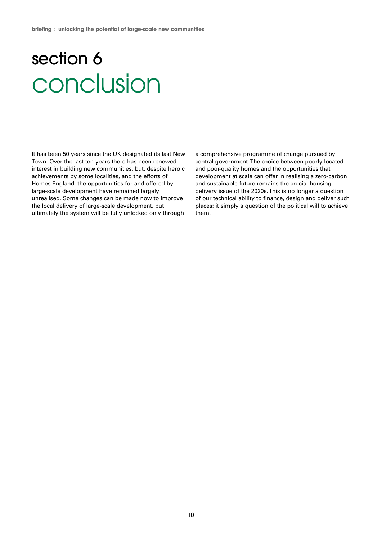### section 6 conclusion

It has been 50 years since the UK designated its last New Town. Over the last ten years there has been renewed interest in building new communities, but, despite heroic achievements by some localities, and the efforts of Homes England, the opportunities for and offered by large-scale development have remained largely unrealised. Some changes can be made now to improve the local delivery of large-scale development, but ultimately the system will be fully unlocked only through

a comprehensive programme of change pursued by central government. The choice between poorly located and poor-quality homes and the opportunities that development at scale can offer in realising a zero-carbon and sustainable future remains the crucial housing delivery issue of the 2020s. This is no longer a question of our technical ability to finance, design and deliver such places: it simply a question of the political will to achieve them.